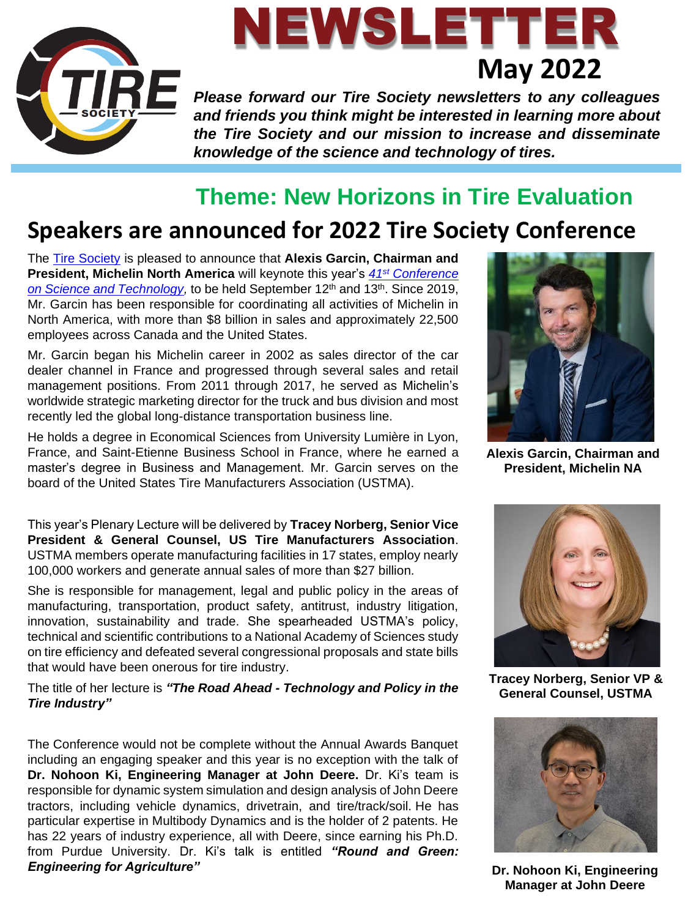

# NEWSLETTER **May 2022**

**Please forward our Tire Society newsletters to any colleagues** *and friends you think might be interested in learning more about the Tire Society and our mission to increase and disseminate knowledge of the science and technology of tires.*

## **Theme: New Horizons in Tire Evaluation**

## **Speakers are announced for 2022 Tire Society Conference**

The [Tire Society](https://www.tiresociety.org/) is pleased to announce that **Alexis Garcin, Chairman and President, Michelin North America** will keynote this year's *41st [Conference](https://www.tiresociety.org/conference/)*  [on Science and Technology,](https://www.tiresociety.org/conference/) to be held September 12<sup>th</sup> and 13<sup>th</sup>. Since 2019, Mr. Garcin has been responsible for coordinating all activities of Michelin in North America, with more than \$8 billion in sales and approximately 22,500 employees across Canada and the United States.

Mr. Garcin began his Michelin career in 2002 as sales director of the car dealer channel in France and progressed through several sales and retail management positions. From 2011 through 2017, he served as Michelin's worldwide strategic marketing director for the truck and bus division and most recently led the global long-distance transportation business line.

He holds a degree in Economical Sciences from University Lumière in Lyon, France, and Saint-Etienne Business School in France, where he earned a master's degree in Business and Management. Mr. Garcin serves on the board of the United States Tire Manufacturers Association (USTMA).

This year's Plenary Lecture will be delivered by **Tracey Norberg, Senior Vice President & General Counsel, US Tire Manufacturers Association**. USTMA members operate manufacturing facilities in 17 states, employ nearly 100,000 workers and generate annual sales of more than \$27 billion.

She is responsible for management, legal and public policy in the areas of manufacturing, transportation, product safety, antitrust, industry litigation, innovation, sustainability and trade. She spearheaded USTMA's policy, technical and scientific contributions to a National Academy of Sciences study on tire efficiency and defeated several congressional proposals and state bills that would have been onerous for tire industry.

The title of her lecture is *"The Road Ahead - Technology and Policy in the Tire Industry"* 

The Conference would not be complete without the Annual Awards Banquet including an engaging speaker and this year is no exception with the talk of **Dr. Nohoon Ki, Engineering Manager at John Deere.** Dr. Ki's team is responsible for dynamic system simulation and design analysis of John Deere tractors, including vehicle dynamics, drivetrain, and tire/track/soil. He has particular expertise in Multibody Dynamics and is the holder of 2 patents. He has 22 years of industry experience, all with Deere, since earning his Ph.D. from Purdue University. Dr. Ki's talk is entitled *"Round and Green: Engineering for Agriculture"*



**Alexis Garcin, Chairman and President, Michelin NA**



**Tracey Norberg, Senior VP & General Counsel, USTMA**



**Dr. Nohoon Ki, Engineering Manager at John Deere**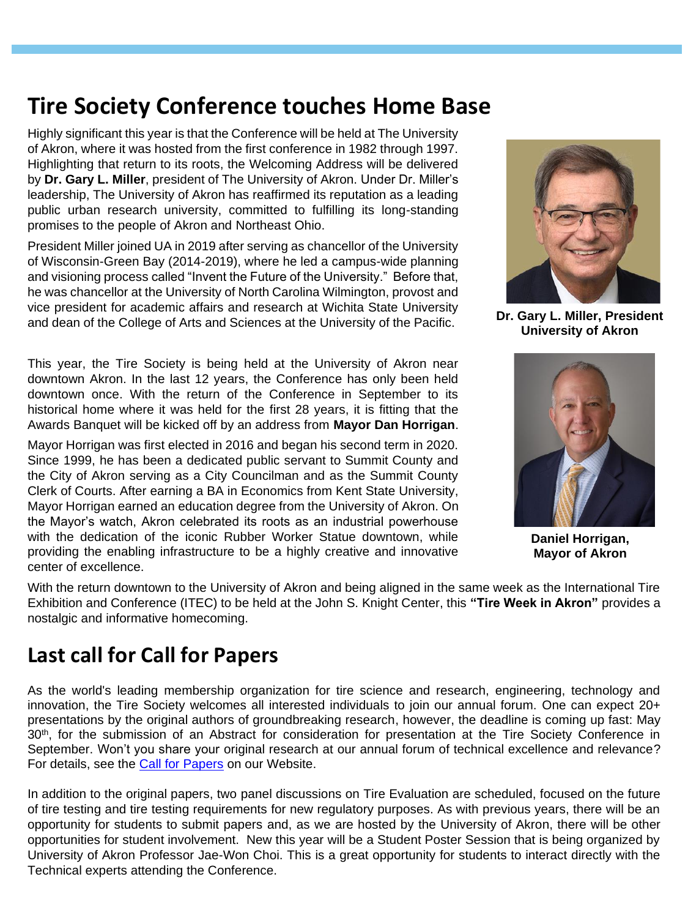## **Tire Society Conference touches Home Base**

Highly significant this year is that the Conference will be held at The University of Akron, where it was hosted from the first conference in 1982 through 1997. Highlighting that return to its roots, the Welcoming Address will be delivered by **Dr. Gary L. Miller**, president of The University of Akron. Under Dr. Miller's leadership, The University of Akron has reaffirmed its reputation as a leading public urban research university, committed to fulfilling its long-standing promises to the people of Akron and Northeast Ohio.

President Miller joined UA in 2019 after serving as chancellor of the University of Wisconsin-Green Bay (2014-2019), where he led a campus-wide planning and visioning process called "Invent the Future of the University." Before that, he was chancellor at the University of North Carolina Wilmington, provost and vice president for academic affairs and research at Wichita State University and dean of the College of Arts and Sciences at the University of the Pacific.

This year, the Tire Society is being held at the University of Akron near downtown Akron. In the last 12 years, the Conference has only been held downtown once. With the return of the Conference in September to its historical home where it was held for the first 28 years, it is fitting that the Awards Banquet will be kicked off by an address from **Mayor Dan Horrigan**.

Mayor Horrigan was first elected in 2016 and began his second term in 2020. Since 1999, he has been a dedicated public servant to Summit County and the City of Akron serving as a City Councilman and as the Summit County Clerk of Courts. After earning a BA in Economics from Kent State University, Mayor Horrigan earned an education degree from the University of Akron. On the Mayor's watch, Akron celebrated its roots as an industrial powerhouse with the dedication of the iconic Rubber Worker Statue downtown, while providing the enabling infrastructure to be a highly creative and innovative center of excellence.



**Dr. Gary L. Miller, President University of Akron**



**Daniel Horrigan, Mayor of Akron** 

With the return downtown to the University of Akron and being aligned in the same week as the International Tire Exhibition and Conference (ITEC) to be held at the John S. Knight Center, this **"Tire Week in Akron"** provides a nostalgic and informative homecoming.

### **Last call for Call for Papers**

As the world's leading membership organization for tire science and research, engineering, technology and innovation, the Tire Society welcomes all interested individuals to join our annual forum. One can expect 20+ presentations by the original authors of groundbreaking research, however, the deadline is coming up fast: May 30<sup>th</sup>, for the submission of an Abstract for consideration for presentation at the Tire Society Conference in September. Won't you share your original research at our annual forum of technical excellence and relevance? For details, see the **Call for Papers** on our Website.

In addition to the original papers, two panel discussions on Tire Evaluation are scheduled, focused on the future of tire testing and tire testing requirements for new regulatory purposes. As with previous years, there will be an opportunity for students to submit papers and, as we are hosted by the University of Akron, there will be other opportunities for student involvement. New this year will be a Student Poster Session that is being organized by University of Akron Professor Jae-Won Choi. This is a great opportunity for students to interact directly with the Technical experts attending the Conference.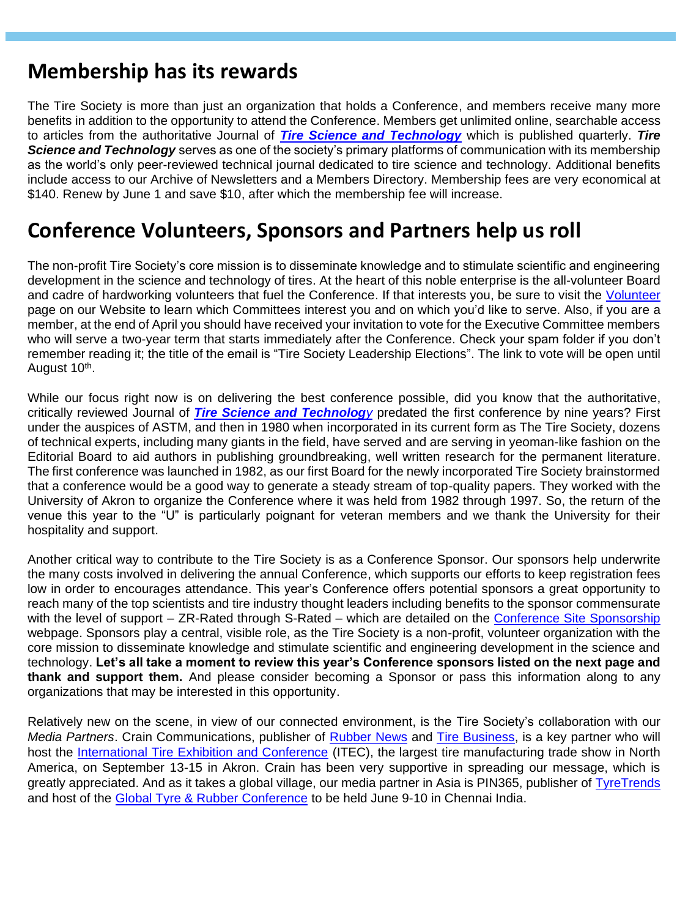#### **Membership has its rewards**

The Tire Society is more than just an organization that holds a Conference, and members receive many more benefits in addition to the opportunity to attend the Conference. Members get unlimited online, searchable access to articles from the authoritative Journal of *[Tire Science and Technology](https://www.tiresociety.org/publications/tire-science-and-technology-journal/)* which is published quarterly. *Tire Science and Technology* serves as one of the society's primary platforms of communication with its membership as the world's only peer-reviewed technical journal dedicated to tire science and technology. Additional benefits include access to our Archive of Newsletters and a Members Directory. Membership fees are very economical at \$140. Renew by June 1 and save \$10, after which the membership fee will increase.

#### **Conference Volunteers, Sponsors and Partners help us roll**

The non-profit Tire Society's core mission is to disseminate knowledge and to stimulate scientific and engineering development in the science and technology of tires. At the heart of this noble enterprise is the all-volunteer Board and cadre of hardworking volunteers that fuel the Conference. If that interests you, be sure to visit the [Volunteer](https://www.tiresociety.org/volunteer/) page on our Website to learn which Committees interest you and on which you'd like to serve. Also, if you are a member, at the end of April you should have received your invitation to vote for the Executive Committee members who will serve a two-year term that starts immediately after the Conference. Check your spam folder if you don't remember reading it; the title of the email is "Tire Society Leadership Elections". The link to vote will be open until August 10<sup>th</sup>.

While our focus right now is on delivering the best conference possible, did you know that the authoritative, critically reviewed Journal of *[Tire Science and Technolog](https://www.tiresociety.org/publications/tire-science-and-technology-journal/)y* predated the first conference by nine years? First under the auspices of ASTM, and then in 1980 when incorporated in its current form as The Tire Society, dozens of technical experts, including many giants in the field, have served and are serving in yeoman-like fashion on the Editorial Board to aid authors in publishing groundbreaking, well written research for the permanent literature. The first conference was launched in 1982, as our first Board for the newly incorporated Tire Society brainstormed that a conference would be a good way to generate a steady stream of top-quality papers. They worked with the University of Akron to organize the Conference where it was held from 1982 through 1997. So, the return of the venue this year to the "U" is particularly poignant for veteran members and we thank the University for their hospitality and support.

Another critical way to contribute to the Tire Society is as a Conference Sponsor. Our sponsors help underwrite the many costs involved in delivering the annual Conference, which supports our efforts to keep registration fees low in order to encourages attendance. This year's Conference offers potential sponsors a great opportunity to reach many of the top scientists and tire industry thought leaders including benefits to the sponsor commensurate with the level of support – ZR-Rated through S-Rated – which are detailed on the [Conference Site Sponsorship](https://www.tiresociety.org/sponsors-exhibitors/) webpage. Sponsors play a central, visible role, as the Tire Society is a non-profit, volunteer organization with the core mission to disseminate knowledge and stimulate scientific and engineering development in the science and technology. **Let's all take a moment to review this year's Conference sponsors listed on the next page and thank and support them.** And please consider becoming a Sponsor or pass this information along to any organizations that may be interested in this opportunity.

Relatively new on the scene, in view of our connected environment, is the Tire Society's collaboration with our *Media Partners*. Crain Communications, publisher of [Rubber News](https://www.rubbernews.com/) and [Tire Business,](https://www.tirebusiness.com/) is a key partner who will host the [International Tire Exhibition and Conference](https://www.itec-tireshow.com/?gclid=EAIaIQobChMItLrMmIHU9wIVhM3ICh2PCAVIEAAYASAAEgKYEvD_BwE) (ITEC), the largest tire manufacturing trade show in North America, on September 13-15 in Akron. Crain has been very supportive in spreading our message, which is greatly appreciated. And as it takes a global village, our media partner in Asia is PIN365, publisher of [TyreTrends](https://tyre-trends.com/) and host of the [Global Tyre & Rubber Conference](https://tyresummit.com/) to be held June 9-10 in Chennai India.